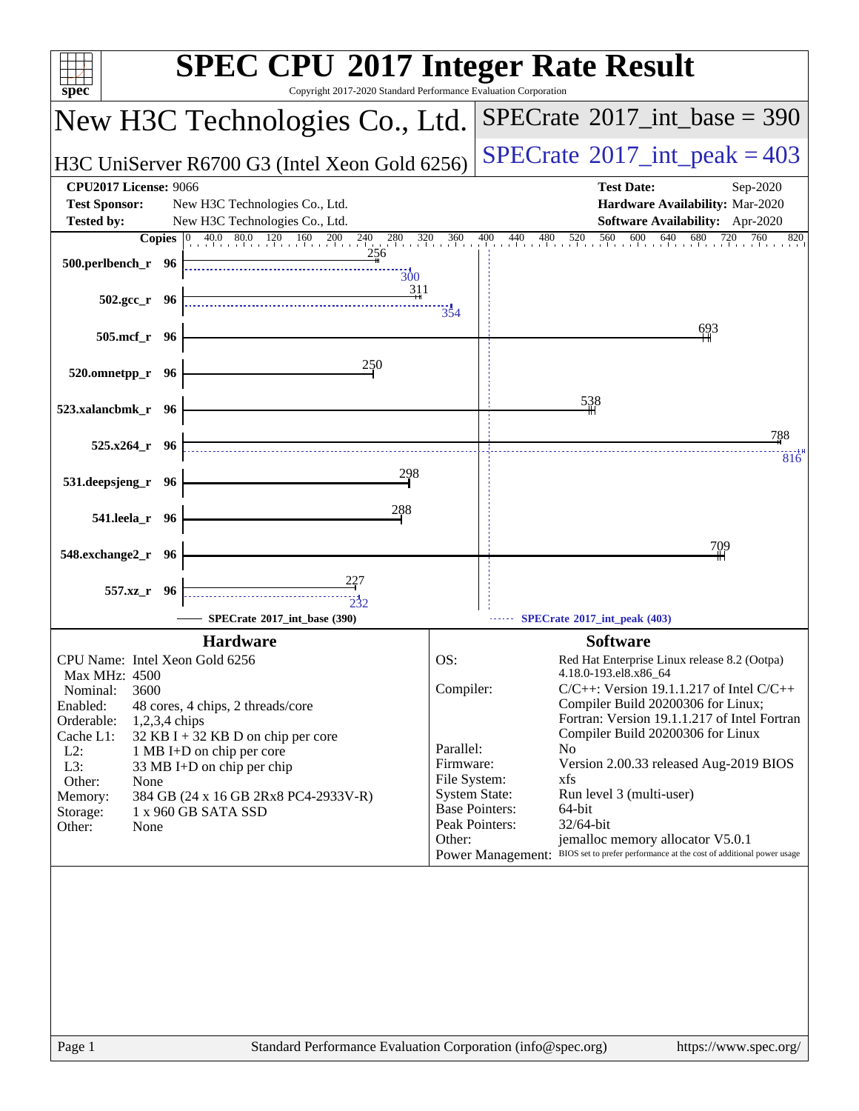| $spec^*$                                                                                                                                      | <b>SPEC CPU®2017 Integer Rate Result</b><br>Copyright 2017-2020 Standard Performance Evaluation Corporation                                                                 |
|-----------------------------------------------------------------------------------------------------------------------------------------------|-----------------------------------------------------------------------------------------------------------------------------------------------------------------------------|
| New H3C Technologies Co., Ltd.                                                                                                                | $SPECTate@2017_int\_base = 390$                                                                                                                                             |
| H3C UniServer R6700 G3 (Intel Xeon Gold 6256)                                                                                                 | $SPECrate^{\circ}2017\_int\_peak = 403$                                                                                                                                     |
| <b>CPU2017 License: 9066</b><br><b>Test Sponsor:</b><br>New H3C Technologies Co., Ltd.<br><b>Tested by:</b><br>New H3C Technologies Co., Ltd. | <b>Test Date:</b><br>Sep-2020<br>Hardware Availability: Mar-2020<br>Software Availability: Apr-2020                                                                         |
|                                                                                                                                               | <b>Copies</b> $\begin{bmatrix} 0 & 40.0 & 80.0 & 120 & 160 & 200 & 240 & 280 & 320 & 360 & 400 & 440 & 480 & 520 & 560 & 600 & 640 & 680 & 720 \end{bmatrix}$<br>760<br>820 |
| 256<br>500.perlbench_r 96<br>$\overline{300}$<br>311                                                                                          |                                                                                                                                                                             |
| $502.\text{gcc}_r$ 96                                                                                                                         | 354                                                                                                                                                                         |
| 505.mcf_r 96                                                                                                                                  | 693                                                                                                                                                                         |
| 250<br>520.omnetpp_r 96                                                                                                                       |                                                                                                                                                                             |
| 523.xalancbmk_r 96                                                                                                                            | 538                                                                                                                                                                         |
| $525.x264$ r 96                                                                                                                               | 788<br>816                                                                                                                                                                  |
| 298<br>531.deepsjeng_r 96                                                                                                                     |                                                                                                                                                                             |
| 288<br>541.leela_r 96                                                                                                                         |                                                                                                                                                                             |
| 548.exchange2_r 96                                                                                                                            | 709                                                                                                                                                                         |
| 227<br>557.xz_r 96<br>$\overline{2}32$                                                                                                        |                                                                                                                                                                             |
| SPECrate®2017 int base (390)                                                                                                                  | SPECrate*2017_int_peak (403)                                                                                                                                                |
| <b>Hardware</b>                                                                                                                               | <b>Software</b>                                                                                                                                                             |
| CPU Name: Intel Xeon Gold 6256<br>Max MHz: 4500                                                                                               | OS:<br>Red Hat Enterprise Linux release 8.2 (Ootpa)<br>4.18.0-193.el8.x86 64                                                                                                |
| 3600<br>Nominal:<br>Enabled:<br>48 cores, 4 chips, 2 threads/core                                                                             | Compiler:<br>$C/C++$ : Version 19.1.1.217 of Intel $C/C++$<br>Compiler Build 20200306 for Linux;                                                                            |
| Orderable:<br>1,2,3,4 chips<br>Cache L1:<br>32 KB I + 32 KB D on chip per core                                                                | Fortran: Version 19.1.1.217 of Intel Fortran<br>Compiler Build 20200306 for Linux                                                                                           |
| $L2$ :<br>1 MB I+D on chip per core<br>L3:<br>33 MB I+D on chip per chip                                                                      | Parallel:<br>N <sub>0</sub><br>Firmware:<br>Version 2.00.33 released Aug-2019 BIOS                                                                                          |
| Other:<br>None                                                                                                                                | File System:<br>xfs                                                                                                                                                         |
| 384 GB (24 x 16 GB 2Rx8 PC4-2933V-R)<br>Memory:<br>1 x 960 GB SATA SSD<br>Storage:                                                            | <b>System State:</b><br>Run level 3 (multi-user)<br><b>Base Pointers:</b><br>64-bit                                                                                         |
| Other:<br>None                                                                                                                                | Peak Pointers:<br>32/64-bit<br>jemalloc memory allocator V5.0.1<br>Other:                                                                                                   |
|                                                                                                                                               | BIOS set to prefer performance at the cost of additional power usage<br><b>Power Management:</b>                                                                            |
|                                                                                                                                               |                                                                                                                                                                             |
| Page 1                                                                                                                                        | Standard Performance Evaluation Corporation (info@spec.org)<br>https://www.spec.org/                                                                                        |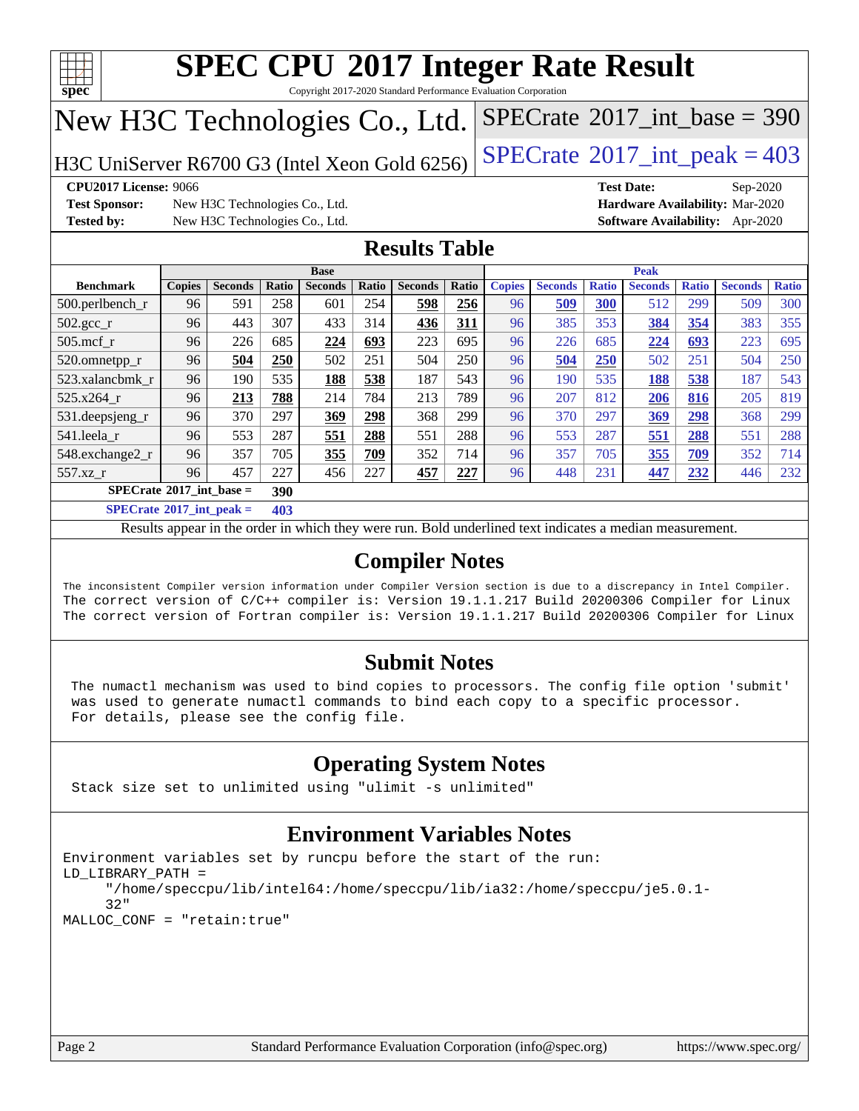

Copyright 2017-2020 Standard Performance Evaluation Corporation

# New H3C Technologies Co., Ltd.

H3C UniServer R6700 G3 (Intel Xeon Gold 6256) [SPECrate](http://www.spec.org/auto/cpu2017/Docs/result-fields.html#SPECrate2017intpeak)® 2017\_int\_peak =  $403$ 

 $SPECTate$ <sup>®</sup>[2017\\_int\\_base =](http://www.spec.org/auto/cpu2017/Docs/result-fields.html#SPECrate2017intbase) 390

**[Test Sponsor:](http://www.spec.org/auto/cpu2017/Docs/result-fields.html#TestSponsor)** New H3C Technologies Co., Ltd. **[Hardware Availability:](http://www.spec.org/auto/cpu2017/Docs/result-fields.html#HardwareAvailability)** Mar-2020 **[Tested by:](http://www.spec.org/auto/cpu2017/Docs/result-fields.html#Testedby)** New H3C Technologies Co., Ltd. **[Software Availability:](http://www.spec.org/auto/cpu2017/Docs/result-fields.html#SoftwareAvailability)** Apr-2020

**[CPU2017 License:](http://www.spec.org/auto/cpu2017/Docs/result-fields.html#CPU2017License)** 9066 **[Test Date:](http://www.spec.org/auto/cpu2017/Docs/result-fields.html#TestDate)** Sep-2020

### **[Results Table](http://www.spec.org/auto/cpu2017/Docs/result-fields.html#ResultsTable)**

| <b>Base</b>                              |                |       |                |       | <b>Peak</b>    |       |               |                |              |                |              |                |              |
|------------------------------------------|----------------|-------|----------------|-------|----------------|-------|---------------|----------------|--------------|----------------|--------------|----------------|--------------|
| <b>Copies</b>                            | <b>Seconds</b> | Ratio | <b>Seconds</b> | Ratio | <b>Seconds</b> | Ratio | <b>Copies</b> | <b>Seconds</b> | <b>Ratio</b> | <b>Seconds</b> | <b>Ratio</b> | <b>Seconds</b> | <b>Ratio</b> |
| 96                                       | 591            | 258   | 601            | 254   | 598            | 256   | 96            | 509            | 300          | 512            | 299          | 509            | 300          |
| 96                                       | 443            | 307   | 433            | 314   | 436            | 311   | 96            | 385            | 353          | 384            | 354          | 383            | 355          |
| 96                                       | 226            | 685   | 224            | 693   | 223            | 695   | 96            | 226            | 685          | 224            | 693          | 223            | 695          |
| 96                                       | 504            | 250   | 502            | 251   | 504            | 250   | 96            | 504            | 250          | 502            | 251          | 504            | 250          |
| 96                                       | 190            | 535   | 188            | 538   | 187            | 543   | 96            | 190            | 535          | 188            | 538          | 187            | 543          |
| 96                                       | 213            | 788   | 214            | 784   | 213            | 789   | 96            | 207            | 812          | 206            | 816          | 205            | 819          |
| 96                                       | 370            | 297   | 369            | 298   | 368            | 299   | 96            | 370            | 297          | 369            | 298          | 368            | 299          |
| 96                                       | 553            | 287   | 551            | 288   | 551            | 288   | 96            | 553            | 287          | 551            | 288          | 551            | 288          |
| 96                                       | 357            | 705   | 355            | 709   | 352            | 714   | 96            | 357            | 705          | 355            | 709          | 352            | 714          |
| 96                                       | 457            | 227   | 456            | 227   | 457            | 227   | 96            | 448            | 231          | 447            | 232          | 446            | 232          |
| $SPECrate^{\circ}2017$ int base =<br>390 |                |       |                |       |                |       |               |                |              |                |              |                |              |
|                                          |                |       |                |       |                |       |               |                |              |                |              |                |              |

**[SPECrate](http://www.spec.org/auto/cpu2017/Docs/result-fields.html#SPECrate2017intpeak)[2017\\_int\\_peak =](http://www.spec.org/auto/cpu2017/Docs/result-fields.html#SPECrate2017intpeak) 403**

Results appear in the [order in which they were run](http://www.spec.org/auto/cpu2017/Docs/result-fields.html#RunOrder). Bold underlined text [indicates a median measurement](http://www.spec.org/auto/cpu2017/Docs/result-fields.html#Median).

### **[Compiler Notes](http://www.spec.org/auto/cpu2017/Docs/result-fields.html#CompilerNotes)**

The inconsistent Compiler version information under Compiler Version section is due to a discrepancy in Intel Compiler. The correct version of C/C++ compiler is: Version 19.1.1.217 Build 20200306 Compiler for Linux The correct version of Fortran compiler is: Version 19.1.1.217 Build 20200306 Compiler for Linux

### **[Submit Notes](http://www.spec.org/auto/cpu2017/Docs/result-fields.html#SubmitNotes)**

 The numactl mechanism was used to bind copies to processors. The config file option 'submit' was used to generate numactl commands to bind each copy to a specific processor. For details, please see the config file.

### **[Operating System Notes](http://www.spec.org/auto/cpu2017/Docs/result-fields.html#OperatingSystemNotes)**

Stack size set to unlimited using "ulimit -s unlimited"

### **[Environment Variables Notes](http://www.spec.org/auto/cpu2017/Docs/result-fields.html#EnvironmentVariablesNotes)**

```
Environment variables set by runcpu before the start of the run:
LD_LIBRARY_PATH =
      "/home/speccpu/lib/intel64:/home/speccpu/lib/ia32:/home/speccpu/je5.0.1-
      32"
MALLOC_CONF = "retain:true"
```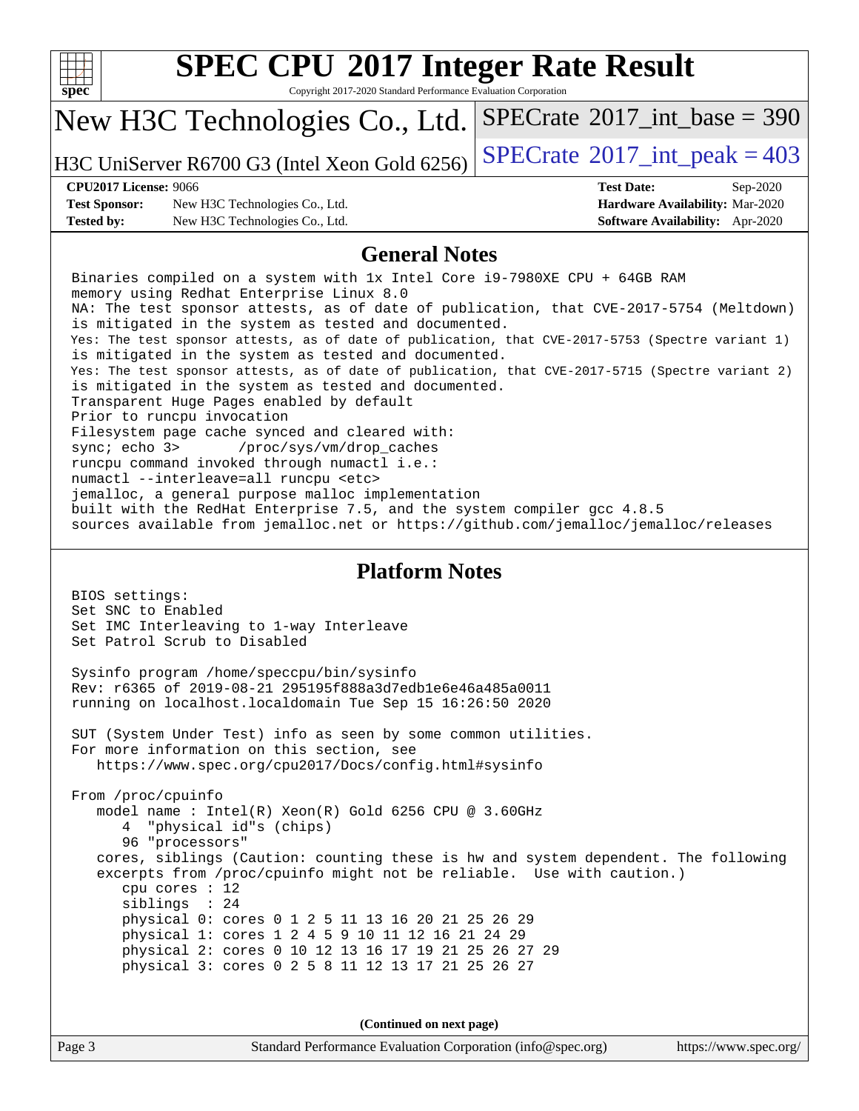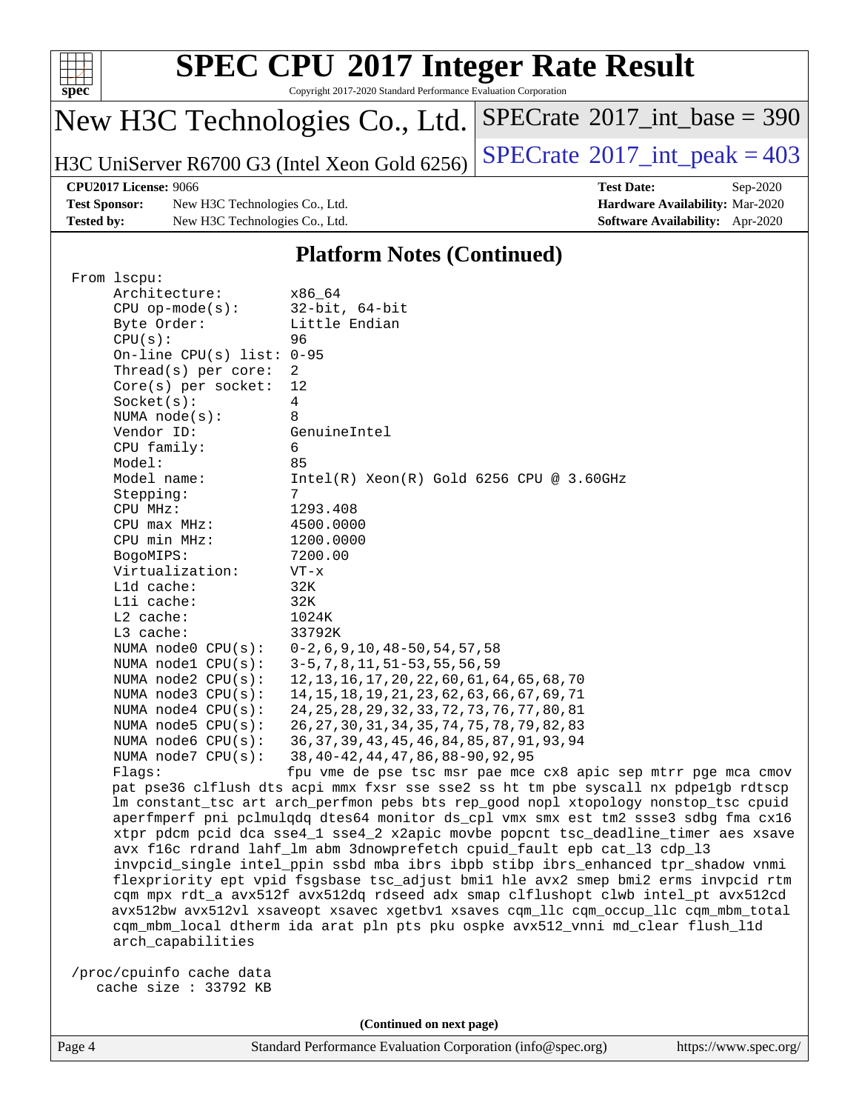

Copyright 2017-2020 Standard Performance Evaluation Corporation

# New H3C Technologies Co., Ltd.

H3C UniServer R6700 G3 (Intel Xeon Gold 6256) [SPECrate](http://www.spec.org/auto/cpu2017/Docs/result-fields.html#SPECrate2017intpeak)<sup>®</sup>2017\_int\_peak =  $403$ 

 $SPECrate$ <sup>®</sup>[2017\\_int\\_base =](http://www.spec.org/auto/cpu2017/Docs/result-fields.html#SPECrate2017intbase) 390

**[Test Sponsor:](http://www.spec.org/auto/cpu2017/Docs/result-fields.html#TestSponsor)** New H3C Technologies Co., Ltd. **[Hardware Availability:](http://www.spec.org/auto/cpu2017/Docs/result-fields.html#HardwareAvailability)** Mar-2020 **[Tested by:](http://www.spec.org/auto/cpu2017/Docs/result-fields.html#Testedby)** New H3C Technologies Co., Ltd. **[Software Availability:](http://www.spec.org/auto/cpu2017/Docs/result-fields.html#SoftwareAvailability)** Apr-2020

**[CPU2017 License:](http://www.spec.org/auto/cpu2017/Docs/result-fields.html#CPU2017License)** 9066 **[Test Date:](http://www.spec.org/auto/cpu2017/Docs/result-fields.html#TestDate)** Sep-2020

#### **[Platform Notes \(Continued\)](http://www.spec.org/auto/cpu2017/Docs/result-fields.html#PlatformNotes)**

| From 1scpu:                 |                                                                                      |
|-----------------------------|--------------------------------------------------------------------------------------|
| Architecture:               | x86 64                                                                               |
| $CPU$ op-mode( $s$ ):       | $32$ -bit, $64$ -bit                                                                 |
| Byte Order:                 | Little Endian                                                                        |
| CPU(s):                     | 96                                                                                   |
| On-line CPU(s) list: $0-95$ |                                                                                      |
| Thread(s) per core:         | 2                                                                                    |
| Core(s) per socket:         | 12                                                                                   |
| Socket(s):                  | $\overline{4}$                                                                       |
| NUMA $node(s):$             | 8                                                                                    |
| Vendor ID:                  | GenuineIntel                                                                         |
| CPU family:                 | 6                                                                                    |
| Model:                      | 85                                                                                   |
| Model name:                 | $Intel(R)$ Xeon $(R)$ Gold 6256 CPU @ 3.60GHz                                        |
| Stepping:                   | 7                                                                                    |
| CPU MHz:                    | 1293.408                                                                             |
| CPU max MHz:                | 4500.0000                                                                            |
| CPU min MHz:                | 1200.0000                                                                            |
| BogoMIPS:                   | 7200.00                                                                              |
| Virtualization:             | VT-x                                                                                 |
| Lld cache:                  | 32K                                                                                  |
| Lli cache:                  | 32K                                                                                  |
| L2 cache:                   | 1024K                                                                                |
| L3 cache:                   | 33792K                                                                               |
| NUMA $node0$ $CPU(s)$ :     | $0-2, 6, 9, 10, 48-50, 54, 57, 58$                                                   |
| NUMA nodel $CPU(s):$        | 3-5, 7, 8, 11, 51-53, 55, 56, 59                                                     |
| NUMA node2 CPU(s):          | 12, 13, 16, 17, 20, 22, 60, 61, 64, 65, 68, 70                                       |
| NUMA node3 CPU(s):          | 14, 15, 18, 19, 21, 23, 62, 63, 66, 67, 69, 71                                       |
| NUMA $node4$ $CPU(s):$      | 24, 25, 28, 29, 32, 33, 72, 73, 76, 77, 80, 81                                       |
| NUMA $node5$ $CPU(s)$ :     | 26, 27, 30, 31, 34, 35, 74, 75, 78, 79, 82, 83                                       |
| NUMA $node6$ $CPU(s):$      | 36, 37, 39, 43, 45, 46, 84, 85, 87, 91, 93, 94                                       |
| NUMA $node7$ $CPU(s)$ :     | 38, 40-42, 44, 47, 86, 88-90, 92, 95                                                 |
| Flaqs:                      | fpu vme de pse tsc msr pae mce cx8 apic sep mtrr pge mca cmov                        |
|                             | pat pse36 clflush dts acpi mmx fxsr sse sse2 ss ht tm pbe syscall nx pdpelgb rdtscp  |
|                             | lm constant_tsc art arch_perfmon pebs bts rep_good nopl xtopology nonstop_tsc cpuid  |
|                             | aperfmperf pni pclmulqdq dtes64 monitor ds_cpl vmx smx est tm2 ssse3 sdbg fma cx16   |
|                             | xtpr pdcm pcid dca sse4_1 sse4_2 x2apic movbe popcnt tsc_deadline_timer aes xsave    |
|                             | avx f16c rdrand lahf_lm abm 3dnowprefetch cpuid_fault epb cat_13 cdp_13              |
|                             | invpcid_single intel_ppin ssbd mba ibrs ibpb stibp ibrs_enhanced tpr_shadow vnmi     |
|                             | flexpriority ept vpid fsgsbase tsc_adjust bmil hle avx2 smep bmi2 erms invpcid rtm   |
|                             | cqm mpx rdt_a avx512f avx512dq rdseed adx smap clflushopt clwb intel_pt avx512cd     |
|                             | avx512bw avx512vl xsaveopt xsavec xgetbvl xsaves cqm_llc cqm_occup_llc cqm_mbm_total |
|                             | cqm_mbm_local dtherm ida arat pln pts pku ospke avx512_vnni md_clear flush_l1d       |
| arch_capabilities           |                                                                                      |
|                             |                                                                                      |
| /proc/cpuinfo cache data    |                                                                                      |
| cache size : 33792 KB       |                                                                                      |
|                             |                                                                                      |

**(Continued on next page)**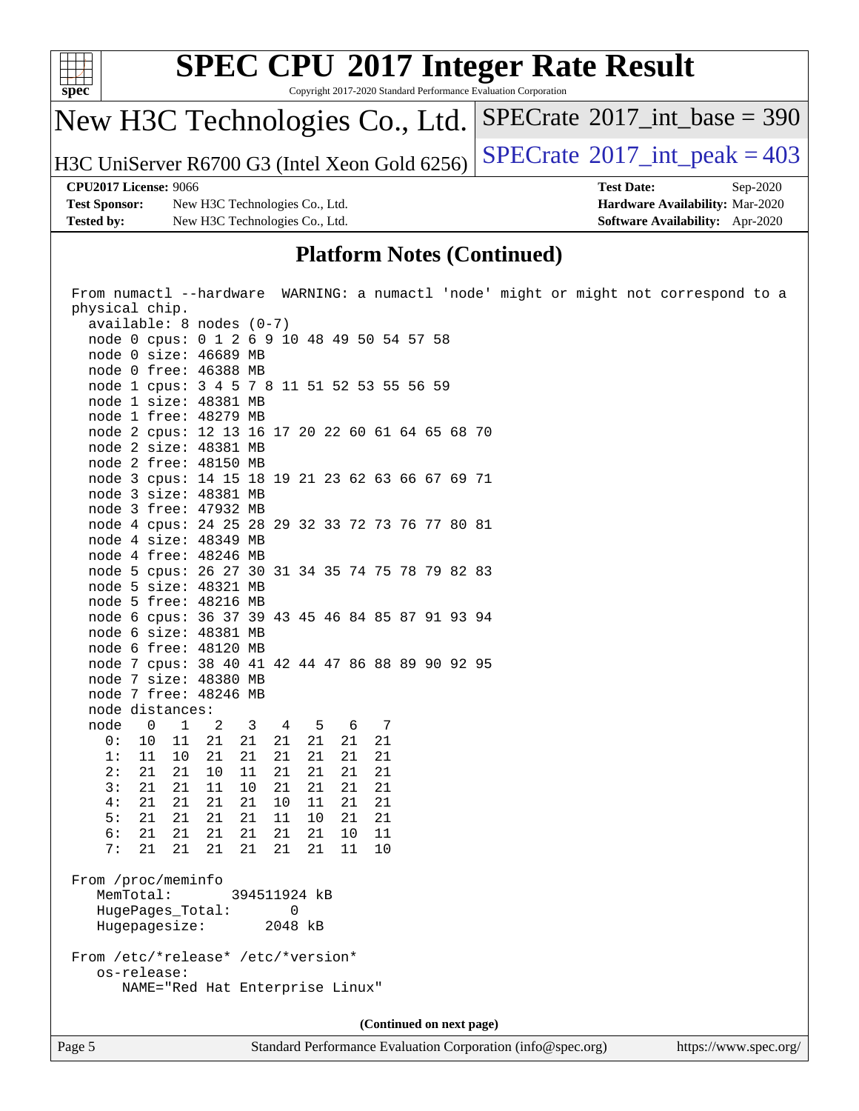

### **[Platform Notes \(Continued\)](http://www.spec.org/auto/cpu2017/Docs/result-fields.html#PlatformNotes)**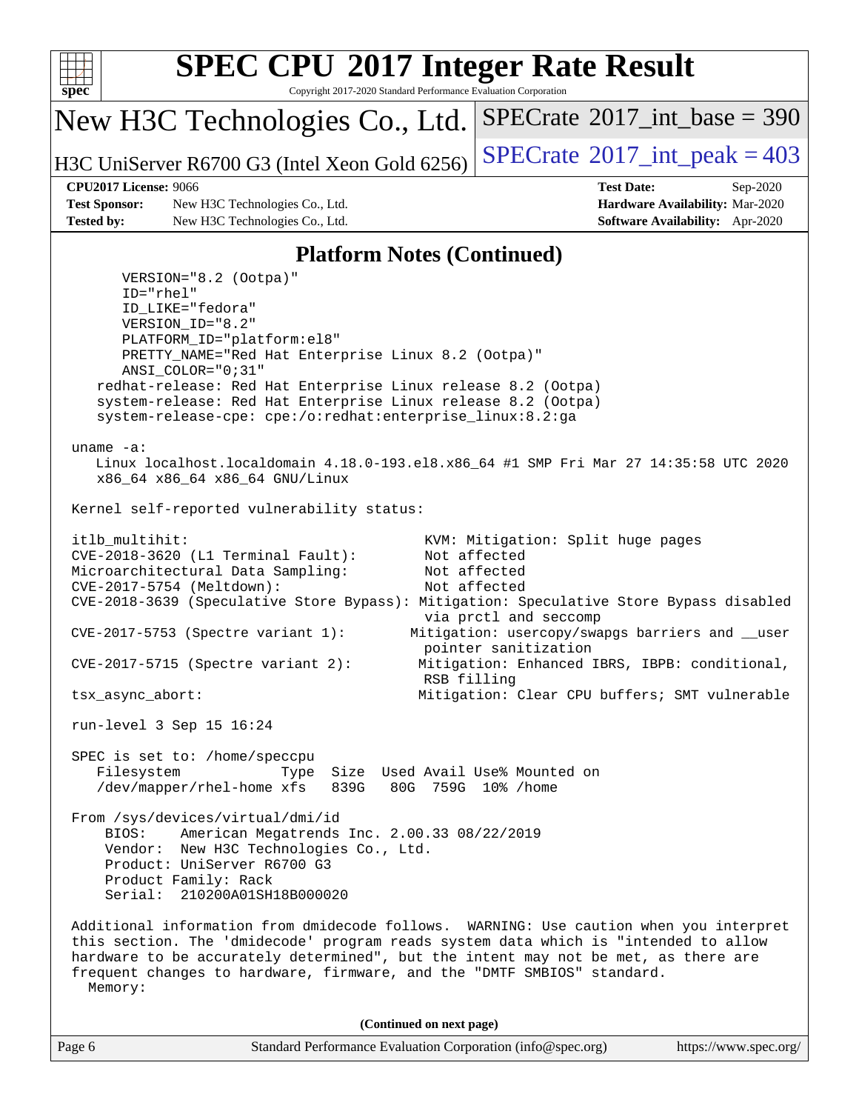

Copyright 2017-2020 Standard Performance Evaluation Corporation

New H3C Technologies Co., Ltd.

H3C UniServer R6700 G3 (Intel Xeon Gold 6256) [SPECrate](http://www.spec.org/auto/cpu2017/Docs/result-fields.html#SPECrate2017intpeak)<sup>®</sup>2017\_int\_peak =  $403$ 

 $SPECTate$ <sup>®</sup>[2017\\_int\\_base =](http://www.spec.org/auto/cpu2017/Docs/result-fields.html#SPECrate2017intbase) 390

**[Test Sponsor:](http://www.spec.org/auto/cpu2017/Docs/result-fields.html#TestSponsor)** New H3C Technologies Co., Ltd. **[Hardware Availability:](http://www.spec.org/auto/cpu2017/Docs/result-fields.html#HardwareAvailability)** Mar-2020 **[Tested by:](http://www.spec.org/auto/cpu2017/Docs/result-fields.html#Testedby)** New H3C Technologies Co., Ltd. **[Software Availability:](http://www.spec.org/auto/cpu2017/Docs/result-fields.html#SoftwareAvailability)** Apr-2020

**[CPU2017 License:](http://www.spec.org/auto/cpu2017/Docs/result-fields.html#CPU2017License)** 9066 **[Test Date:](http://www.spec.org/auto/cpu2017/Docs/result-fields.html#TestDate)** Sep-2020

#### **[Platform Notes \(Continued\)](http://www.spec.org/auto/cpu2017/Docs/result-fields.html#PlatformNotes)**

Page 6 Standard Performance Evaluation Corporation [\(info@spec.org\)](mailto:info@spec.org) <https://www.spec.org/> VERSION="8.2 (Ootpa)" ID="rhel" ID\_LIKE="fedora" VERSION\_ID="8.2" PLATFORM\_ID="platform:el8" PRETTY\_NAME="Red Hat Enterprise Linux 8.2 (Ootpa)" ANSI\_COLOR="0;31" redhat-release: Red Hat Enterprise Linux release 8.2 (Ootpa) system-release: Red Hat Enterprise Linux release 8.2 (Ootpa) system-release-cpe: cpe:/o:redhat:enterprise\_linux:8.2:ga uname -a: Linux localhost.localdomain 4.18.0-193.el8.x86\_64 #1 SMP Fri Mar 27 14:35:58 UTC 2020 x86\_64 x86\_64 x86\_64 GNU/Linux Kernel self-reported vulnerability status: itlb\_multihit: KVM: Mitigation: Split huge pages CVE-2018-3620 (L1 Terminal Fault): Not affected Microarchitectural Data Sampling: Not affected CVE-2017-5754 (Meltdown): Not affected CVE-2018-3639 (Speculative Store Bypass): Mitigation: Speculative Store Bypass disabled via prctl and seccomp CVE-2017-5753 (Spectre variant 1): Mitigation: usercopy/swapgs barriers and \_\_user pointer sanitization CVE-2017-5715 (Spectre variant 2): Mitigation: Enhanced IBRS, IBPB: conditional, RSB filling tsx\_async\_abort: Mitigation: Clear CPU buffers; SMT vulnerable run-level 3 Sep 15 16:24 SPEC is set to: /home/speccpu Filesystem Type Size Used Avail Use% Mounted on /dev/mapper/rhel-home xfs 839G 80G 759G 10% /home From /sys/devices/virtual/dmi/id BIOS: American Megatrends Inc. 2.00.33 08/22/2019 Vendor: New H3C Technologies Co., Ltd. Product: UniServer R6700 G3 Product Family: Rack Serial: 210200A01SH18B000020 Additional information from dmidecode follows. WARNING: Use caution when you interpret this section. The 'dmidecode' program reads system data which is "intended to allow hardware to be accurately determined", but the intent may not be met, as there are frequent changes to hardware, firmware, and the "DMTF SMBIOS" standard. Memory: **(Continued on next page)**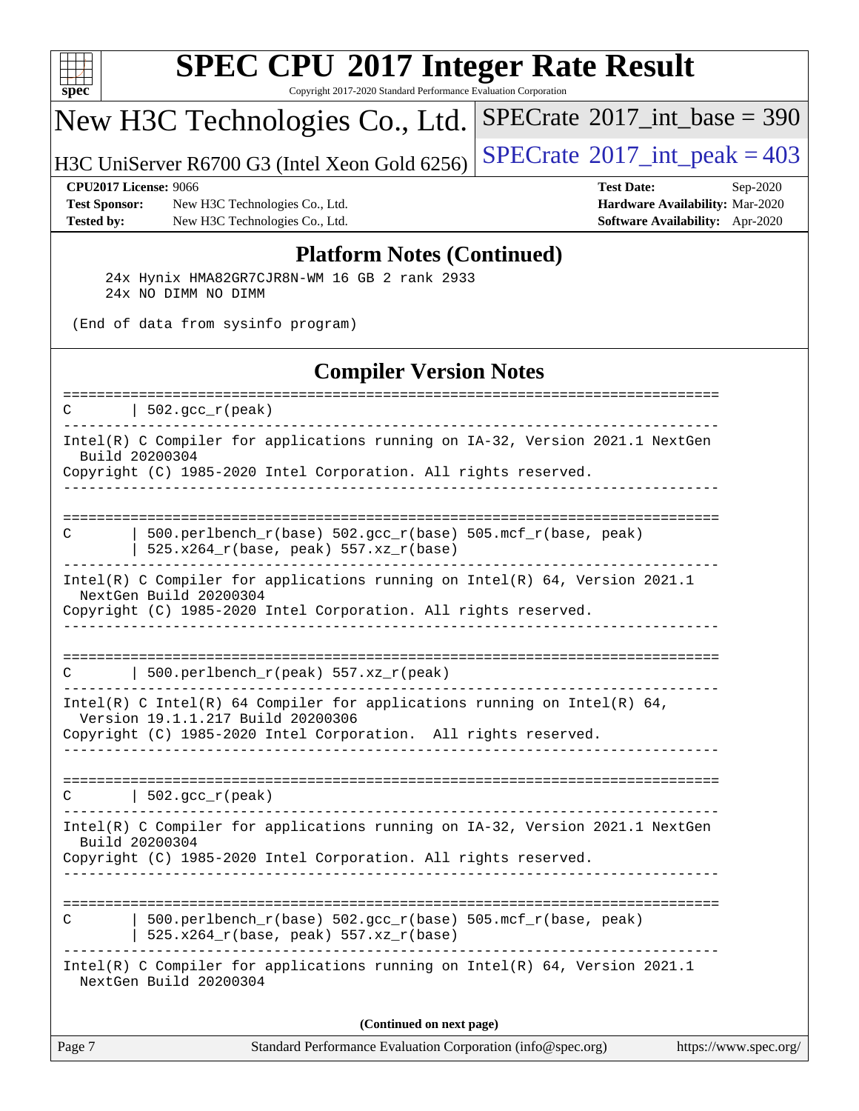

Copyright 2017-2020 Standard Performance Evaluation Corporation

## New H3C Technologies Co., Ltd.

H3C UniServer R6700 G3 (Intel Xeon Gold 6256)  $\left|$  [SPECrate](http://www.spec.org/auto/cpu2017/Docs/result-fields.html#SPECrate2017intpeak)®[2017\\_int\\_peak = 4](http://www.spec.org/auto/cpu2017/Docs/result-fields.html#SPECrate2017intpeak)03

 $SPECrate$ <sup>®</sup>[2017\\_int\\_base =](http://www.spec.org/auto/cpu2017/Docs/result-fields.html#SPECrate2017intbase) 390

**[Test Sponsor:](http://www.spec.org/auto/cpu2017/Docs/result-fields.html#TestSponsor)** New H3C Technologies Co., Ltd. **[Hardware Availability:](http://www.spec.org/auto/cpu2017/Docs/result-fields.html#HardwareAvailability)** Mar-2020 **[Tested by:](http://www.spec.org/auto/cpu2017/Docs/result-fields.html#Testedby)** New H3C Technologies Co., Ltd. **[Software Availability:](http://www.spec.org/auto/cpu2017/Docs/result-fields.html#SoftwareAvailability)** Apr-2020

**[CPU2017 License:](http://www.spec.org/auto/cpu2017/Docs/result-fields.html#CPU2017License)** 9066 **[Test Date:](http://www.spec.org/auto/cpu2017/Docs/result-fields.html#TestDate)** Sep-2020

#### **[Platform Notes \(Continued\)](http://www.spec.org/auto/cpu2017/Docs/result-fields.html#PlatformNotes)**

 24x Hynix HMA82GR7CJR8N-WM 16 GB 2 rank 2933 24x NO DIMM NO DIMM

(End of data from sysinfo program)

#### **[Compiler Version Notes](http://www.spec.org/auto/cpu2017/Docs/result-fields.html#CompilerVersionNotes)**

| Page 7 | Standard Performance Evaluation Corporation (info@spec.org)                                                                                                                      | https://www.spec.org/ |
|--------|----------------------------------------------------------------------------------------------------------------------------------------------------------------------------------|-----------------------|
|        | (Continued on next page)                                                                                                                                                         |                       |
|        | Intel(R) C Compiler for applications running on $Intel(R) 64$ , Version 2021.1<br>NextGen Build 20200304                                                                         |                       |
| C      | $500. perlbench_r(base) 502. gcc_r(base) 505.mcf_r(base, peak)$<br>525.x264_r(base, peak) 557.xz_r(base)                                                                         |                       |
|        | Intel(R) C Compiler for applications running on IA-32, Version 2021.1 NextGen<br>Build 20200304<br>Copyright (C) 1985-2020 Intel Corporation. All rights reserved.               |                       |
| C      | $  502.\text{gcc_r(peak)}$                                                                                                                                                       |                       |
|        | Intel(R) C Intel(R) 64 Compiler for applications running on Intel(R) 64,<br>Version 19.1.1.217 Build 20200306<br>Copyright (C) 1985-2020 Intel Corporation. All rights reserved. |                       |
| C      | 500.perlbench_r(peak) 557.xz_r(peak)                                                                                                                                             |                       |
|        | Intel(R) C Compiler for applications running on $Intel(R) 64$ , Version 2021.1<br>NextGen Build 20200304<br>Copyright (C) 1985-2020 Intel Corporation. All rights reserved.      |                       |
| C      | 500.perlbench_r(base) 502.gcc_r(base) 505.mcf_r(base, peak)<br>525.x264_r(base, peak) 557.xz_r(base)                                                                             |                       |
|        | Intel(R) C Compiler for applications running on IA-32, Version 2021.1 NextGen<br>Build 20200304<br>Copyright (C) 1985-2020 Intel Corporation. All rights reserved.               |                       |
| C      | $  502.\text{gcc_r(peak)}$                                                                                                                                                       |                       |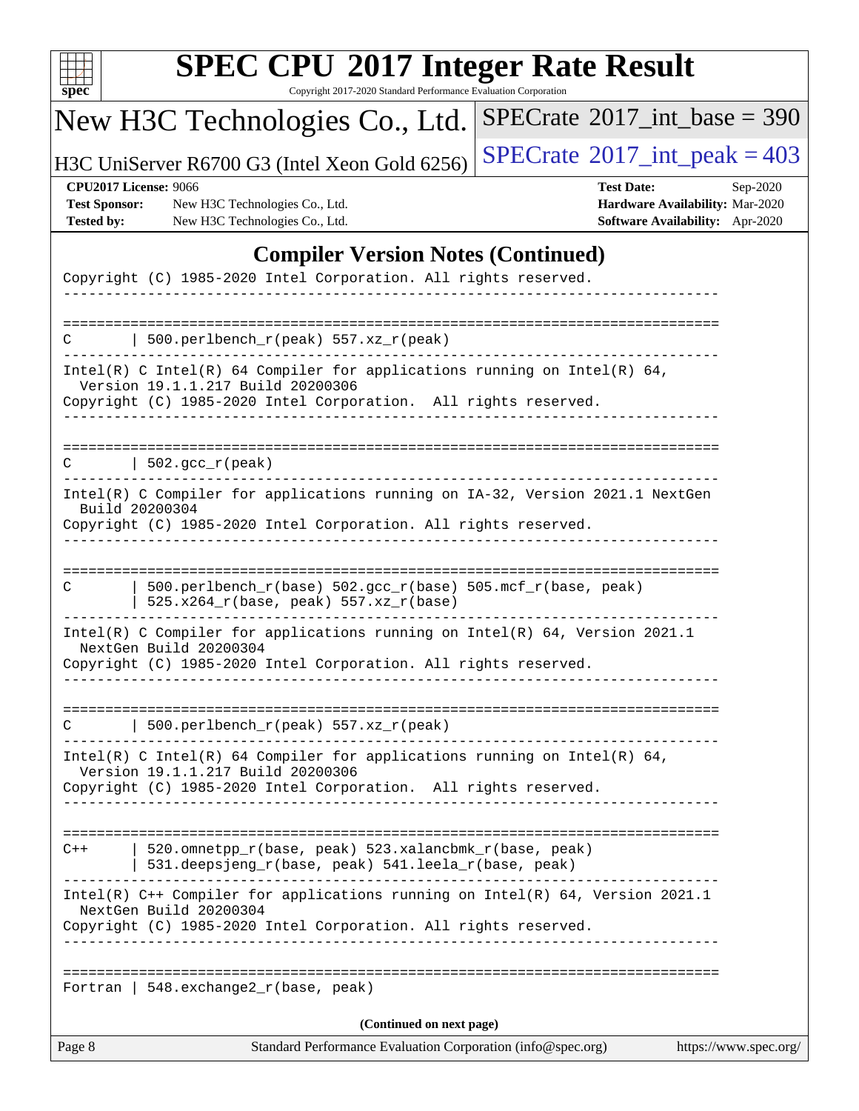| u<br>r |  |  |  |  |  |
|--------|--|--|--|--|--|

Copyright 2017-2020 Standard Performance Evaluation Corporation

# New H3C Technologies Co., Ltd.

H3C UniServer R6700 G3 (Intel Xeon Gold 6256)  $\left|$  [SPECrate](http://www.spec.org/auto/cpu2017/Docs/result-fields.html#SPECrate2017intpeak)<sup>®</sup>[2017\\_int\\_peak = 4](http://www.spec.org/auto/cpu2017/Docs/result-fields.html#SPECrate2017intpeak)03

 $SPECrate$ <sup>®</sup>[2017\\_int\\_base =](http://www.spec.org/auto/cpu2017/Docs/result-fields.html#SPECrate2017intbase) 390

**[Test Sponsor:](http://www.spec.org/auto/cpu2017/Docs/result-fields.html#TestSponsor)** New H3C Technologies Co., Ltd. **[Hardware Availability:](http://www.spec.org/auto/cpu2017/Docs/result-fields.html#HardwareAvailability)** Mar-2020 **[Tested by:](http://www.spec.org/auto/cpu2017/Docs/result-fields.html#Testedby)** New H3C Technologies Co., Ltd. **[Software Availability:](http://www.spec.org/auto/cpu2017/Docs/result-fields.html#SoftwareAvailability)** Apr-2020

**[CPU2017 License:](http://www.spec.org/auto/cpu2017/Docs/result-fields.html#CPU2017License)** 9066 **[Test Date:](http://www.spec.org/auto/cpu2017/Docs/result-fields.html#TestDate)** Sep-2020

### **[Compiler Version Notes \(Continued\)](http://www.spec.org/auto/cpu2017/Docs/result-fields.html#CompilerVersionNotes)**

| Page 8 | Standard Performance Evaluation Corporation (info@spec.org)                                                                                                                                                    | https://www.spec.org/ |
|--------|----------------------------------------------------------------------------------------------------------------------------------------------------------------------------------------------------------------|-----------------------|
|        | (Continued on next page)                                                                                                                                                                                       |                       |
|        | Fortran   548. exchange $2\lfloor r(\text{base}, \text{peak}) \rfloor$                                                                                                                                         |                       |
|        | Intel(R) C++ Compiler for applications running on Intel(R) 64, Version 2021.1<br>NextGen Build 20200304<br>Copyright (C) 1985-2020 Intel Corporation. All rights reserved.                                     |                       |
| $C++$  | -------------------------------------<br>520.omnetpp_r(base, peak) 523.xalancbmk_r(base, peak)<br>531.deepsjeng_r(base, peak) 541.leela_r(base, peak)                                                          |                       |
|        | Intel(R) C Intel(R) 64 Compiler for applications running on Intel(R) 64,<br>Version 19.1.1.217 Build 20200306<br>Copyright (C) 1985-2020 Intel Corporation. All rights reserved.                               |                       |
|        | 500.perlbench_r(peak) 557.xz_r(peak)                                                                                                                                                                           |                       |
|        | Intel(R) C Compiler for applications running on Intel(R) 64, Version 2021.1<br>NextGen Build 20200304<br>Copyright (C) 1985-2020 Intel Corporation. All rights reserved.                                       |                       |
| C      | 500.perlbench_r(base) 502.gcc_r(base) 505.mcf_r(base, peak)<br>525.x264_r(base, peak) 557.xz_r(base)                                                                                                           |                       |
|        | Intel(R) C Compiler for applications running on IA-32, Version 2021.1 NextGen<br>Build 20200304<br>Copyright (C) 1985-2020 Intel Corporation. All rights reserved.                                             |                       |
| C.     | $\vert$ 502.gcc_r(peak)                                                                                                                                                                                        |                       |
|        | Copyright (C) 1985-2020 Intel Corporation. All rights reserved.                                                                                                                                                |                       |
|        | Intel(R) C Intel(R) 64 Compiler for applications running on Intel(R) 64,<br>Version 19.1.1.217 Build 20200306                                                                                                  |                       |
|        | 500.perlbench_r(peak) 557.xz_r(peak)                                                                                                                                                                           |                       |
|        | $\frac{1}{2}$ $\frac{1}{2}$ $\frac{1}{2}$ $\frac{1}{2}$ $\frac{1}{2}$ $\frac{1}{2}$ $\frac{1}{2}$ $\frac{1}{2}$ $\frac{1}{2}$ $\frac{1}{2}$<br>Copyright (C) 1985-2020 Intel Corporation. All rights reserved. |                       |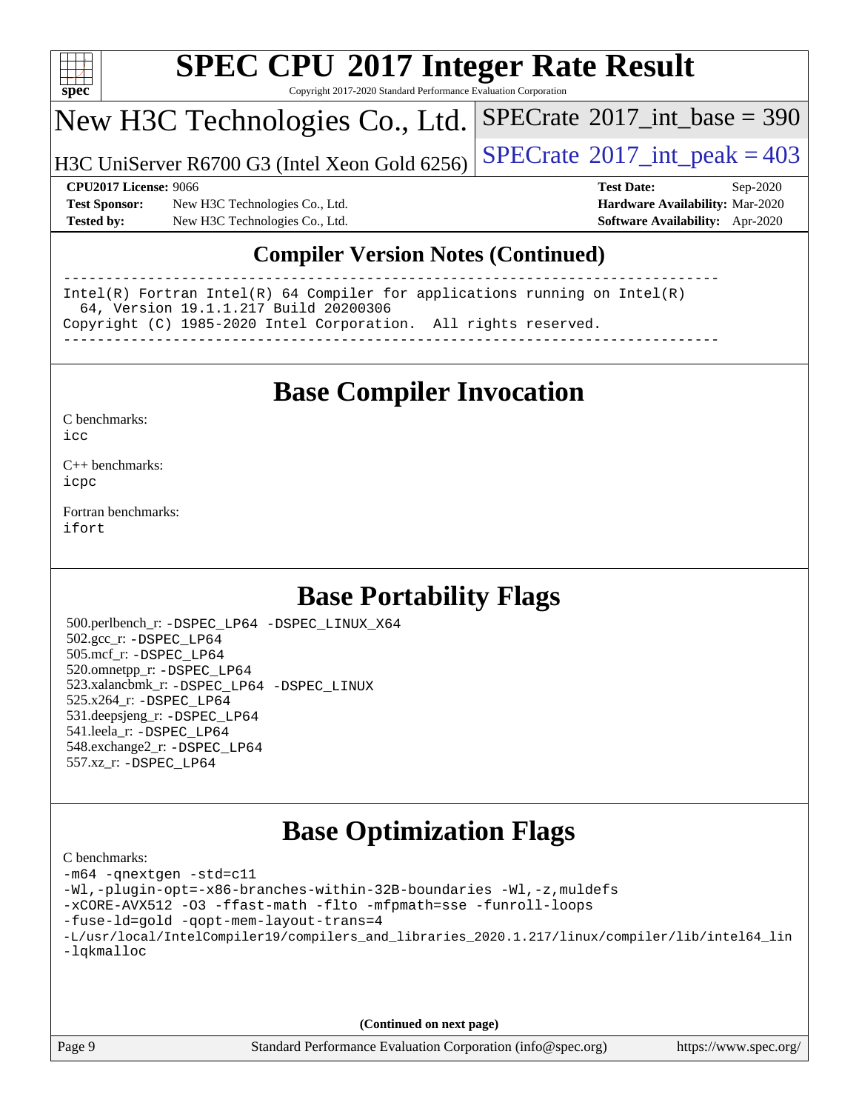

Copyright 2017-2020 Standard Performance Evaluation Corporation

## New H3C Technologies Co., Ltd.

H3C UniServer R6700 G3 (Intel Xeon Gold 6256)  $\left|$  [SPECrate](http://www.spec.org/auto/cpu2017/Docs/result-fields.html#SPECrate2017intpeak)®[2017\\_int\\_peak = 4](http://www.spec.org/auto/cpu2017/Docs/result-fields.html#SPECrate2017intpeak)03

 $SPECTate$ <sup>®</sup>[2017\\_int\\_base =](http://www.spec.org/auto/cpu2017/Docs/result-fields.html#SPECrate2017intbase) 390

**[Test Sponsor:](http://www.spec.org/auto/cpu2017/Docs/result-fields.html#TestSponsor)** New H3C Technologies Co., Ltd. **[Hardware Availability:](http://www.spec.org/auto/cpu2017/Docs/result-fields.html#HardwareAvailability)** Mar-2020 **[Tested by:](http://www.spec.org/auto/cpu2017/Docs/result-fields.html#Testedby)** New H3C Technologies Co., Ltd. **[Software Availability:](http://www.spec.org/auto/cpu2017/Docs/result-fields.html#SoftwareAvailability)** Apr-2020

**[CPU2017 License:](http://www.spec.org/auto/cpu2017/Docs/result-fields.html#CPU2017License)** 9066 **[Test Date:](http://www.spec.org/auto/cpu2017/Docs/result-fields.html#TestDate)** Sep-2020

### **[Compiler Version Notes \(Continued\)](http://www.spec.org/auto/cpu2017/Docs/result-fields.html#CompilerVersionNotes)**

------------------------------------------------------------------------------ Intel(R) Fortran Intel(R) 64 Compiler for applications running on Intel(R) 64, Version 19.1.1.217 Build 20200306 Copyright (C) 1985-2020 Intel Corporation. All rights reserved. ------------------------------------------------------------------------------

## **[Base Compiler Invocation](http://www.spec.org/auto/cpu2017/Docs/result-fields.html#BaseCompilerInvocation)**

[C benchmarks](http://www.spec.org/auto/cpu2017/Docs/result-fields.html#Cbenchmarks):  $i$ cc

[C++ benchmarks:](http://www.spec.org/auto/cpu2017/Docs/result-fields.html#CXXbenchmarks) [icpc](http://www.spec.org/cpu2017/results/res2020q4/cpu2017-20200927-24036.flags.html#user_CXXbase_intel_icpc_c510b6838c7f56d33e37e94d029a35b4a7bccf4766a728ee175e80a419847e808290a9b78be685c44ab727ea267ec2f070ec5dc83b407c0218cded6866a35d07)

[Fortran benchmarks](http://www.spec.org/auto/cpu2017/Docs/result-fields.html#Fortranbenchmarks): [ifort](http://www.spec.org/cpu2017/results/res2020q4/cpu2017-20200927-24036.flags.html#user_FCbase_intel_ifort_8111460550e3ca792625aed983ce982f94888b8b503583aa7ba2b8303487b4d8a21a13e7191a45c5fd58ff318f48f9492884d4413fa793fd88dd292cad7027ca)

## **[Base Portability Flags](http://www.spec.org/auto/cpu2017/Docs/result-fields.html#BasePortabilityFlags)**

 500.perlbench\_r: [-DSPEC\\_LP64](http://www.spec.org/cpu2017/results/res2020q4/cpu2017-20200927-24036.flags.html#b500.perlbench_r_basePORTABILITY_DSPEC_LP64) [-DSPEC\\_LINUX\\_X64](http://www.spec.org/cpu2017/results/res2020q4/cpu2017-20200927-24036.flags.html#b500.perlbench_r_baseCPORTABILITY_DSPEC_LINUX_X64) 502.gcc\_r: [-DSPEC\\_LP64](http://www.spec.org/cpu2017/results/res2020q4/cpu2017-20200927-24036.flags.html#suite_basePORTABILITY502_gcc_r_DSPEC_LP64) 505.mcf\_r: [-DSPEC\\_LP64](http://www.spec.org/cpu2017/results/res2020q4/cpu2017-20200927-24036.flags.html#suite_basePORTABILITY505_mcf_r_DSPEC_LP64) 520.omnetpp\_r: [-DSPEC\\_LP64](http://www.spec.org/cpu2017/results/res2020q4/cpu2017-20200927-24036.flags.html#suite_basePORTABILITY520_omnetpp_r_DSPEC_LP64) 523.xalancbmk\_r: [-DSPEC\\_LP64](http://www.spec.org/cpu2017/results/res2020q4/cpu2017-20200927-24036.flags.html#suite_basePORTABILITY523_xalancbmk_r_DSPEC_LP64) [-DSPEC\\_LINUX](http://www.spec.org/cpu2017/results/res2020q4/cpu2017-20200927-24036.flags.html#b523.xalancbmk_r_baseCXXPORTABILITY_DSPEC_LINUX) 525.x264\_r: [-DSPEC\\_LP64](http://www.spec.org/cpu2017/results/res2020q4/cpu2017-20200927-24036.flags.html#suite_basePORTABILITY525_x264_r_DSPEC_LP64) 531.deepsjeng\_r: [-DSPEC\\_LP64](http://www.spec.org/cpu2017/results/res2020q4/cpu2017-20200927-24036.flags.html#suite_basePORTABILITY531_deepsjeng_r_DSPEC_LP64) 541.leela\_r: [-DSPEC\\_LP64](http://www.spec.org/cpu2017/results/res2020q4/cpu2017-20200927-24036.flags.html#suite_basePORTABILITY541_leela_r_DSPEC_LP64) 548.exchange2\_r: [-DSPEC\\_LP64](http://www.spec.org/cpu2017/results/res2020q4/cpu2017-20200927-24036.flags.html#suite_basePORTABILITY548_exchange2_r_DSPEC_LP64) 557.xz\_r: [-DSPEC\\_LP64](http://www.spec.org/cpu2017/results/res2020q4/cpu2017-20200927-24036.flags.html#suite_basePORTABILITY557_xz_r_DSPEC_LP64)

## **[Base Optimization Flags](http://www.spec.org/auto/cpu2017/Docs/result-fields.html#BaseOptimizationFlags)**

| C benchmarks:                                                                                  |
|------------------------------------------------------------------------------------------------|
| -m64 -qnextgen -std=c11                                                                        |
| -Wl,-plugin-opt=-x86-branches-within-32B-boundaries -Wl,-z, muldefs                            |
| -xCORE-AVX512 -03 -ffast-math -flto -mfpmath=sse -funroll-loops                                |
| -fuse-1d=gold -gopt-mem-layout-trans=4                                                         |
| -L/usr/local/IntelCompiler19/compilers_and_libraries_2020.1.217/linux/compiler/lib/intel64_lin |
| -lqkmalloc                                                                                     |
|                                                                                                |
|                                                                                                |
|                                                                                                |

**(Continued on next page)**

Page 9 Standard Performance Evaluation Corporation [\(info@spec.org\)](mailto:info@spec.org) <https://www.spec.org/>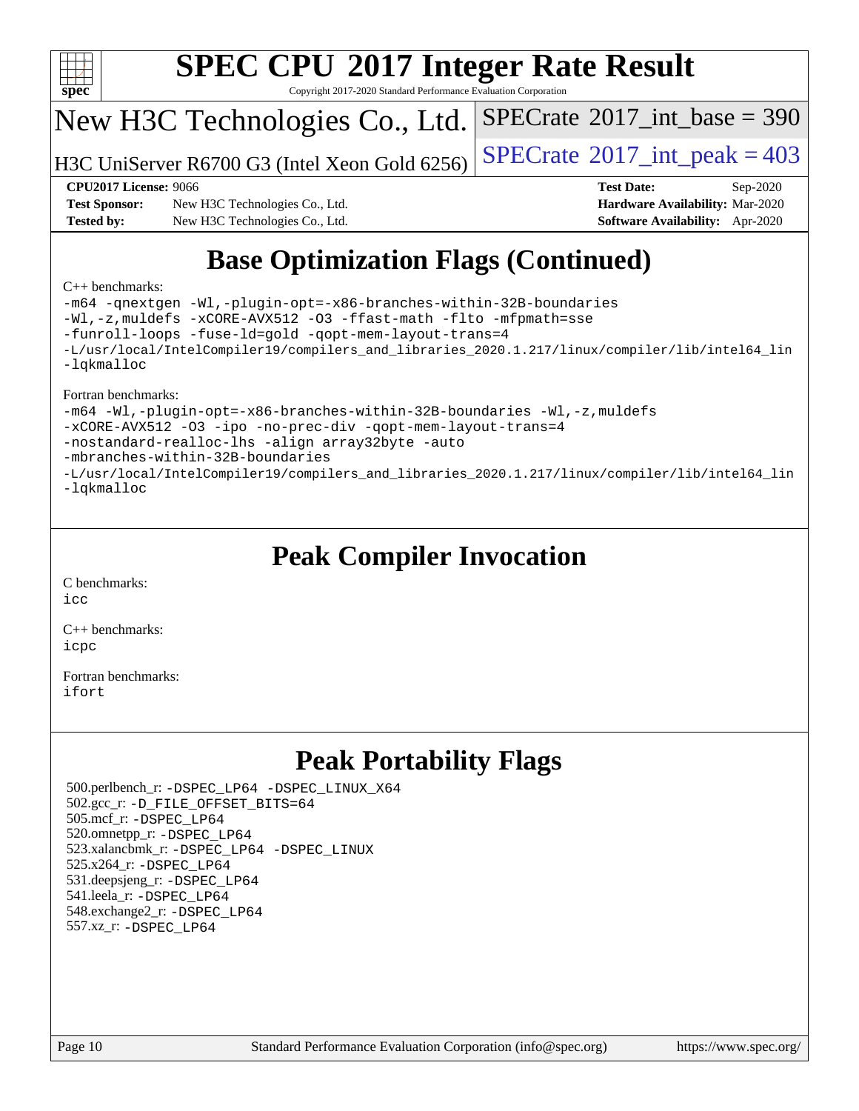

Copyright 2017-2020 Standard Performance Evaluation Corporation

## New H3C Technologies Co., Ltd.

H3C UniServer R6700 G3 (Intel Xeon Gold 6256)  $\vert$  [SPECrate](http://www.spec.org/auto/cpu2017/Docs/result-fields.html#SPECrate2017intpeak)®[2017\\_int\\_peak = 4](http://www.spec.org/auto/cpu2017/Docs/result-fields.html#SPECrate2017intpeak)03

 $SPECTate$ <sup>®</sup>[2017\\_int\\_base =](http://www.spec.org/auto/cpu2017/Docs/result-fields.html#SPECrate2017intbase) 390

**[Test Sponsor:](http://www.spec.org/auto/cpu2017/Docs/result-fields.html#TestSponsor)** New H3C Technologies Co., Ltd. **[Hardware Availability:](http://www.spec.org/auto/cpu2017/Docs/result-fields.html#HardwareAvailability)** Mar-2020 **[Tested by:](http://www.spec.org/auto/cpu2017/Docs/result-fields.html#Testedby)** New H3C Technologies Co., Ltd. **[Software Availability:](http://www.spec.org/auto/cpu2017/Docs/result-fields.html#SoftwareAvailability)** Apr-2020

**[CPU2017 License:](http://www.spec.org/auto/cpu2017/Docs/result-fields.html#CPU2017License)** 9066 **[Test Date:](http://www.spec.org/auto/cpu2017/Docs/result-fields.html#TestDate)** Sep-2020

# **[Base Optimization Flags \(Continued\)](http://www.spec.org/auto/cpu2017/Docs/result-fields.html#BaseOptimizationFlags)**

#### [C++ benchmarks:](http://www.spec.org/auto/cpu2017/Docs/result-fields.html#CXXbenchmarks)

[-m64](http://www.spec.org/cpu2017/results/res2020q4/cpu2017-20200927-24036.flags.html#user_CXXbase_m64-icc) [-qnextgen](http://www.spec.org/cpu2017/results/res2020q4/cpu2017-20200927-24036.flags.html#user_CXXbase_f-qnextgen) [-Wl,-plugin-opt=-x86-branches-within-32B-boundaries](http://www.spec.org/cpu2017/results/res2020q4/cpu2017-20200927-24036.flags.html#user_CXXbase_f-x86-branches-within-32B-boundaries_0098b4e4317ae60947b7b728078a624952a08ac37a3c797dfb4ffeb399e0c61a9dd0f2f44ce917e9361fb9076ccb15e7824594512dd315205382d84209e912f3) [-Wl,-z,muldefs](http://www.spec.org/cpu2017/results/res2020q4/cpu2017-20200927-24036.flags.html#user_CXXbase_link_force_multiple1_b4cbdb97b34bdee9ceefcfe54f4c8ea74255f0b02a4b23e853cdb0e18eb4525ac79b5a88067c842dd0ee6996c24547a27a4b99331201badda8798ef8a743f577) [-xCORE-AVX512](http://www.spec.org/cpu2017/results/res2020q4/cpu2017-20200927-24036.flags.html#user_CXXbase_f-xCORE-AVX512) [-O3](http://www.spec.org/cpu2017/results/res2020q4/cpu2017-20200927-24036.flags.html#user_CXXbase_f-O3) [-ffast-math](http://www.spec.org/cpu2017/results/res2020q4/cpu2017-20200927-24036.flags.html#user_CXXbase_f-ffast-math) [-flto](http://www.spec.org/cpu2017/results/res2020q4/cpu2017-20200927-24036.flags.html#user_CXXbase_f-flto) [-mfpmath=sse](http://www.spec.org/cpu2017/results/res2020q4/cpu2017-20200927-24036.flags.html#user_CXXbase_f-mfpmath_70eb8fac26bde974f8ab713bc9086c5621c0b8d2f6c86f38af0bd7062540daf19db5f3a066d8c6684be05d84c9b6322eb3b5be6619d967835195b93d6c02afa1) [-funroll-loops](http://www.spec.org/cpu2017/results/res2020q4/cpu2017-20200927-24036.flags.html#user_CXXbase_f-funroll-loops) [-fuse-ld=gold](http://www.spec.org/cpu2017/results/res2020q4/cpu2017-20200927-24036.flags.html#user_CXXbase_f-fuse-ld_920b3586e2b8c6e0748b9c84fa9b744736ba725a32cab14ad8f3d4ad28eecb2f59d1144823d2e17006539a88734fe1fc08fc3035f7676166309105a78aaabc32) [-qopt-mem-layout-trans=4](http://www.spec.org/cpu2017/results/res2020q4/cpu2017-20200927-24036.flags.html#user_CXXbase_f-qopt-mem-layout-trans_fa39e755916c150a61361b7846f310bcdf6f04e385ef281cadf3647acec3f0ae266d1a1d22d972a7087a248fd4e6ca390a3634700869573d231a252c784941a8) [-L/usr/local/IntelCompiler19/compilers\\_and\\_libraries\\_2020.1.217/linux/compiler/lib/intel64\\_lin](http://www.spec.org/cpu2017/results/res2020q4/cpu2017-20200927-24036.flags.html#user_CXXbase_linkpath_2cb6f503891ebf8baee7515f4e7d4ec1217444d1d05903cc0091ac4158de400651d2b2313a9fa414cb8a8f0e16ab029634f5c6db340f400369c190d4db8a54a0) [-lqkmalloc](http://www.spec.org/cpu2017/results/res2020q4/cpu2017-20200927-24036.flags.html#user_CXXbase_qkmalloc_link_lib_79a818439969f771c6bc311cfd333c00fc099dad35c030f5aab9dda831713d2015205805422f83de8875488a2991c0a156aaa600e1f9138f8fc37004abc96dc5)

#### [Fortran benchmarks:](http://www.spec.org/auto/cpu2017/Docs/result-fields.html#Fortranbenchmarks)

[-m64](http://www.spec.org/cpu2017/results/res2020q4/cpu2017-20200927-24036.flags.html#user_FCbase_m64-icc) [-Wl,-plugin-opt=-x86-branches-within-32B-boundaries](http://www.spec.org/cpu2017/results/res2020q4/cpu2017-20200927-24036.flags.html#user_FCbase_f-x86-branches-within-32B-boundaries_0098b4e4317ae60947b7b728078a624952a08ac37a3c797dfb4ffeb399e0c61a9dd0f2f44ce917e9361fb9076ccb15e7824594512dd315205382d84209e912f3) [-Wl,-z,muldefs](http://www.spec.org/cpu2017/results/res2020q4/cpu2017-20200927-24036.flags.html#user_FCbase_link_force_multiple1_b4cbdb97b34bdee9ceefcfe54f4c8ea74255f0b02a4b23e853cdb0e18eb4525ac79b5a88067c842dd0ee6996c24547a27a4b99331201badda8798ef8a743f577) [-xCORE-AVX512](http://www.spec.org/cpu2017/results/res2020q4/cpu2017-20200927-24036.flags.html#user_FCbase_f-xCORE-AVX512) [-O3](http://www.spec.org/cpu2017/results/res2020q4/cpu2017-20200927-24036.flags.html#user_FCbase_f-O3) [-ipo](http://www.spec.org/cpu2017/results/res2020q4/cpu2017-20200927-24036.flags.html#user_FCbase_f-ipo) [-no-prec-div](http://www.spec.org/cpu2017/results/res2020q4/cpu2017-20200927-24036.flags.html#user_FCbase_f-no-prec-div) [-qopt-mem-layout-trans=4](http://www.spec.org/cpu2017/results/res2020q4/cpu2017-20200927-24036.flags.html#user_FCbase_f-qopt-mem-layout-trans_fa39e755916c150a61361b7846f310bcdf6f04e385ef281cadf3647acec3f0ae266d1a1d22d972a7087a248fd4e6ca390a3634700869573d231a252c784941a8) [-nostandard-realloc-lhs](http://www.spec.org/cpu2017/results/res2020q4/cpu2017-20200927-24036.flags.html#user_FCbase_f_2003_std_realloc_82b4557e90729c0f113870c07e44d33d6f5a304b4f63d4c15d2d0f1fab99f5daaed73bdb9275d9ae411527f28b936061aa8b9c8f2d63842963b95c9dd6426b8a) [-align array32byte](http://www.spec.org/cpu2017/results/res2020q4/cpu2017-20200927-24036.flags.html#user_FCbase_align_array32byte_b982fe038af199962ba9a80c053b8342c548c85b40b8e86eb3cc33dee0d7986a4af373ac2d51c3f7cf710a18d62fdce2948f201cd044323541f22fc0fffc51b6) [-auto](http://www.spec.org/cpu2017/results/res2020q4/cpu2017-20200927-24036.flags.html#user_FCbase_f-auto) [-mbranches-within-32B-boundaries](http://www.spec.org/cpu2017/results/res2020q4/cpu2017-20200927-24036.flags.html#user_FCbase_f-mbranches-within-32B-boundaries) [-L/usr/local/IntelCompiler19/compilers\\_and\\_libraries\\_2020.1.217/linux/compiler/lib/intel64\\_lin](http://www.spec.org/cpu2017/results/res2020q4/cpu2017-20200927-24036.flags.html#user_FCbase_linkpath_2cb6f503891ebf8baee7515f4e7d4ec1217444d1d05903cc0091ac4158de400651d2b2313a9fa414cb8a8f0e16ab029634f5c6db340f400369c190d4db8a54a0) [-lqkmalloc](http://www.spec.org/cpu2017/results/res2020q4/cpu2017-20200927-24036.flags.html#user_FCbase_qkmalloc_link_lib_79a818439969f771c6bc311cfd333c00fc099dad35c030f5aab9dda831713d2015205805422f83de8875488a2991c0a156aaa600e1f9138f8fc37004abc96dc5)

## **[Peak Compiler Invocation](http://www.spec.org/auto/cpu2017/Docs/result-fields.html#PeakCompilerInvocation)**

[C benchmarks](http://www.spec.org/auto/cpu2017/Docs/result-fields.html#Cbenchmarks): [icc](http://www.spec.org/cpu2017/results/res2020q4/cpu2017-20200927-24036.flags.html#user_CCpeak_intel_icc_66fc1ee009f7361af1fbd72ca7dcefbb700085f36577c54f309893dd4ec40d12360134090235512931783d35fd58c0460139e722d5067c5574d8eaf2b3e37e92)

[C++ benchmarks:](http://www.spec.org/auto/cpu2017/Docs/result-fields.html#CXXbenchmarks) [icpc](http://www.spec.org/cpu2017/results/res2020q4/cpu2017-20200927-24036.flags.html#user_CXXpeak_intel_icpc_c510b6838c7f56d33e37e94d029a35b4a7bccf4766a728ee175e80a419847e808290a9b78be685c44ab727ea267ec2f070ec5dc83b407c0218cded6866a35d07)

[Fortran benchmarks](http://www.spec.org/auto/cpu2017/Docs/result-fields.html#Fortranbenchmarks): [ifort](http://www.spec.org/cpu2017/results/res2020q4/cpu2017-20200927-24036.flags.html#user_FCpeak_intel_ifort_8111460550e3ca792625aed983ce982f94888b8b503583aa7ba2b8303487b4d8a21a13e7191a45c5fd58ff318f48f9492884d4413fa793fd88dd292cad7027ca)

## **[Peak Portability Flags](http://www.spec.org/auto/cpu2017/Docs/result-fields.html#PeakPortabilityFlags)**

 500.perlbench\_r: [-DSPEC\\_LP64](http://www.spec.org/cpu2017/results/res2020q4/cpu2017-20200927-24036.flags.html#b500.perlbench_r_peakPORTABILITY_DSPEC_LP64) [-DSPEC\\_LINUX\\_X64](http://www.spec.org/cpu2017/results/res2020q4/cpu2017-20200927-24036.flags.html#b500.perlbench_r_peakCPORTABILITY_DSPEC_LINUX_X64) 502.gcc\_r: [-D\\_FILE\\_OFFSET\\_BITS=64](http://www.spec.org/cpu2017/results/res2020q4/cpu2017-20200927-24036.flags.html#user_peakPORTABILITY502_gcc_r_file_offset_bits_64_5ae949a99b284ddf4e95728d47cb0843d81b2eb0e18bdfe74bbf0f61d0b064f4bda2f10ea5eb90e1dcab0e84dbc592acfc5018bc955c18609f94ddb8d550002c) 505.mcf\_r: [-DSPEC\\_LP64](http://www.spec.org/cpu2017/results/res2020q4/cpu2017-20200927-24036.flags.html#suite_peakPORTABILITY505_mcf_r_DSPEC_LP64) 520.omnetpp\_r: [-DSPEC\\_LP64](http://www.spec.org/cpu2017/results/res2020q4/cpu2017-20200927-24036.flags.html#suite_peakPORTABILITY520_omnetpp_r_DSPEC_LP64) 523.xalancbmk\_r: [-DSPEC\\_LP64](http://www.spec.org/cpu2017/results/res2020q4/cpu2017-20200927-24036.flags.html#suite_peakPORTABILITY523_xalancbmk_r_DSPEC_LP64) [-DSPEC\\_LINUX](http://www.spec.org/cpu2017/results/res2020q4/cpu2017-20200927-24036.flags.html#b523.xalancbmk_r_peakCXXPORTABILITY_DSPEC_LINUX) 525.x264\_r: [-DSPEC\\_LP64](http://www.spec.org/cpu2017/results/res2020q4/cpu2017-20200927-24036.flags.html#suite_peakPORTABILITY525_x264_r_DSPEC_LP64) 531.deepsjeng\_r: [-DSPEC\\_LP64](http://www.spec.org/cpu2017/results/res2020q4/cpu2017-20200927-24036.flags.html#suite_peakPORTABILITY531_deepsjeng_r_DSPEC_LP64) 541.leela\_r: [-DSPEC\\_LP64](http://www.spec.org/cpu2017/results/res2020q4/cpu2017-20200927-24036.flags.html#suite_peakPORTABILITY541_leela_r_DSPEC_LP64) 548.exchange2\_r: [-DSPEC\\_LP64](http://www.spec.org/cpu2017/results/res2020q4/cpu2017-20200927-24036.flags.html#suite_peakPORTABILITY548_exchange2_r_DSPEC_LP64) 557.xz\_r: [-DSPEC\\_LP64](http://www.spec.org/cpu2017/results/res2020q4/cpu2017-20200927-24036.flags.html#suite_peakPORTABILITY557_xz_r_DSPEC_LP64)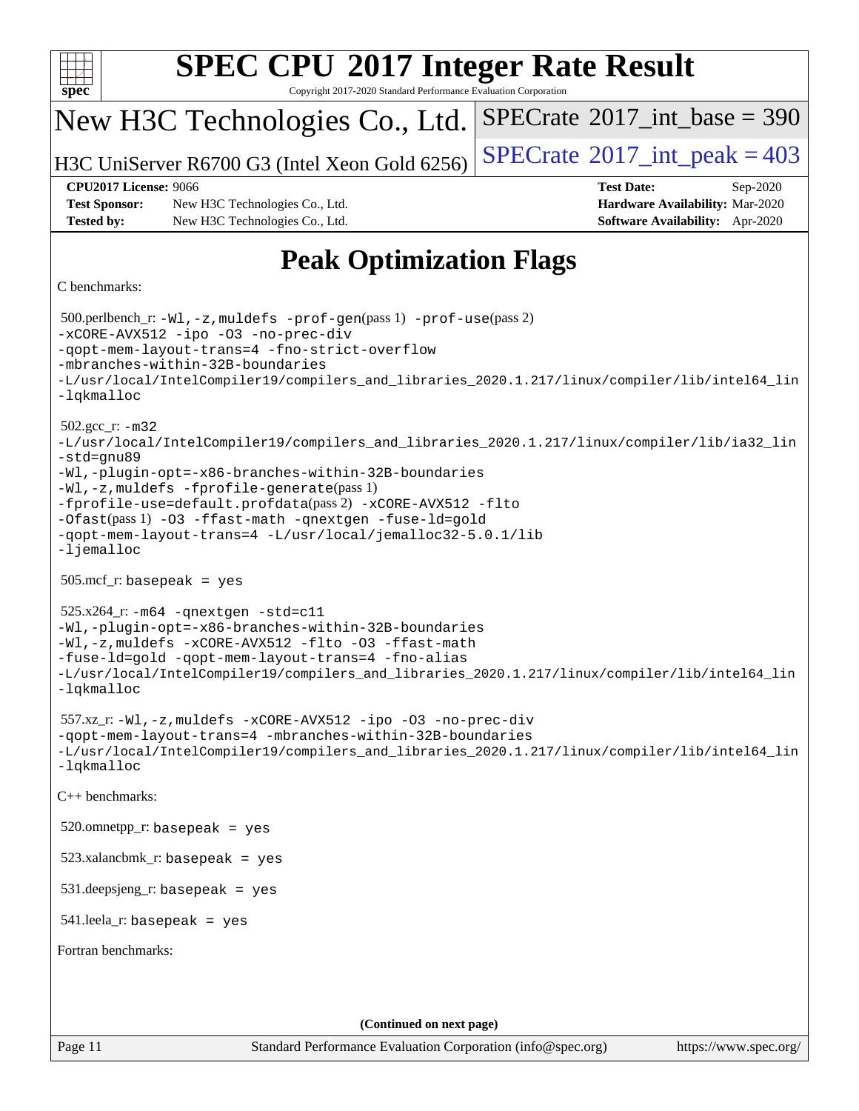| <b>SPEC CPU®2017 Integer Rate Result</b>                                                                                                                                                                                                                                                                                                                                                                                                      |                                                                                                     |  |  |  |  |  |
|-----------------------------------------------------------------------------------------------------------------------------------------------------------------------------------------------------------------------------------------------------------------------------------------------------------------------------------------------------------------------------------------------------------------------------------------------|-----------------------------------------------------------------------------------------------------|--|--|--|--|--|
| spec <sup>®</sup><br>Copyright 2017-2020 Standard Performance Evaluation Corporation                                                                                                                                                                                                                                                                                                                                                          |                                                                                                     |  |  |  |  |  |
| New H3C Technologies Co., Ltd.                                                                                                                                                                                                                                                                                                                                                                                                                | $SPECrate^{\circ}2017\_int\_base = 390$                                                             |  |  |  |  |  |
| H3C UniServer R6700 G3 (Intel Xeon Gold 6256)                                                                                                                                                                                                                                                                                                                                                                                                 | $SPECTate$ <sup>®</sup> 2017_int_peak = 403                                                         |  |  |  |  |  |
| <b>CPU2017 License: 9066</b><br><b>Test Sponsor:</b><br>New H3C Technologies Co., Ltd.<br><b>Tested by:</b><br>New H3C Technologies Co., Ltd.                                                                                                                                                                                                                                                                                                 | <b>Test Date:</b><br>Sep-2020<br>Hardware Availability: Mar-2020<br>Software Availability: Apr-2020 |  |  |  |  |  |
| <b>Peak Optimization Flags</b>                                                                                                                                                                                                                                                                                                                                                                                                                |                                                                                                     |  |  |  |  |  |
| C benchmarks:                                                                                                                                                                                                                                                                                                                                                                                                                                 |                                                                                                     |  |  |  |  |  |
| 500.perlbench_r: -Wl, -z, muldefs -prof-gen(pass 1) -prof-use(pass 2)<br>-xCORE-AVX512 -ipo -03 -no-prec-div<br>-gopt-mem-layout-trans=4 -fno-strict-overflow<br>-mbranches-within-32B-boundaries<br>-L/usr/local/IntelCompiler19/compilers_and_libraries_2020.1.217/linux/compiler/lib/intel64_lin<br>-lqkmalloc                                                                                                                             |                                                                                                     |  |  |  |  |  |
| $502.gcc_r$ : $-m32$<br>-L/usr/local/IntelCompiler19/compilers_and_libraries_2020.1.217/linux/compiler/lib/ia32_lin<br>-std=gnu89<br>-Wl,-plugin-opt=-x86-branches-within-32B-boundaries<br>-Wl,-z, muldefs -fprofile-generate(pass 1)<br>-fprofile-use=default.profdata(pass 2) -xCORE-AVX512 -flto<br>-Ofast(pass 1) -03 -ffast-math -qnextgen -fuse-ld=gold<br>-qopt-mem-layout-trans=4 -L/usr/local/jemalloc32-5.0.1/lib<br>$-lj$ emalloc |                                                                                                     |  |  |  |  |  |
| $505.\text{mcf}_r$ : basepeak = yes                                                                                                                                                                                                                                                                                                                                                                                                           |                                                                                                     |  |  |  |  |  |
| $525.x264$ _r: $-m64$ -qnextgen -std=c11<br>-Wl,-plugin-opt=-x86-branches-within-32B-boundaries<br>-Wl,-z, muldefs -xCORE-AVX512 -flto -03 -ffast-math<br>-fuse-ld=gold -qopt-mem-layout-trans=4 -fno-alias<br>-L/usr/local/IntelCompiler19/compilers_and_libraries_2020.1.217/linux/compiler/lib/intel64_lin<br>-lqkmalloc                                                                                                                   |                                                                                                     |  |  |  |  |  |
| $557.xz_r: -W1, -z$ , muldefs $-xCORE-AVX512 -ipo -03 -no-prec-div$<br>-qopt-mem-layout-trans=4 -mbranches-within-32B-boundaries<br>-L/usr/local/IntelCompiler19/compilers and libraries 2020.1.217/linux/compiler/lib/intel64 lin<br>$-lq$ kmalloc                                                                                                                                                                                           |                                                                                                     |  |  |  |  |  |
| C++ benchmarks:                                                                                                                                                                                                                                                                                                                                                                                                                               |                                                                                                     |  |  |  |  |  |
| $520.$ omnetpp_r: basepeak = yes                                                                                                                                                                                                                                                                                                                                                                                                              |                                                                                                     |  |  |  |  |  |
| $523.xalanchmk_r: basepeak = yes$                                                                                                                                                                                                                                                                                                                                                                                                             |                                                                                                     |  |  |  |  |  |
| $531$ .deepsjeng_r: basepeak = yes                                                                                                                                                                                                                                                                                                                                                                                                            |                                                                                                     |  |  |  |  |  |
| $541$ .leela_r: basepeak = yes                                                                                                                                                                                                                                                                                                                                                                                                                |                                                                                                     |  |  |  |  |  |
| Fortran benchmarks:                                                                                                                                                                                                                                                                                                                                                                                                                           |                                                                                                     |  |  |  |  |  |
|                                                                                                                                                                                                                                                                                                                                                                                                                                               |                                                                                                     |  |  |  |  |  |
| (Continued on next page)                                                                                                                                                                                                                                                                                                                                                                                                                      |                                                                                                     |  |  |  |  |  |
| Page 11<br>Standard Performance Evaluation Corporation (info@spec.org)                                                                                                                                                                                                                                                                                                                                                                        | https://www.spec.org/                                                                               |  |  |  |  |  |